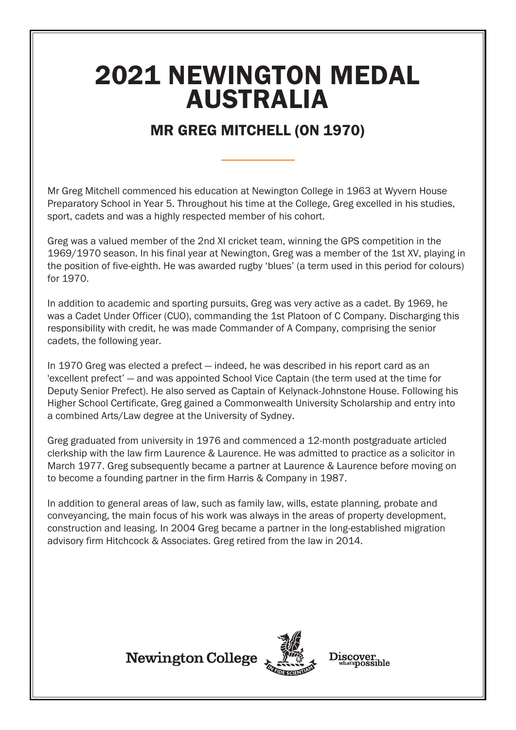## 2021 NEWINGTON MEDAL AUSTRALIA

## MR GREG MITCHELL (ON 1970)

Mr Greg Mitchell commenced his education at Newington College in 1963 at Wyvern House Preparatory School in Year 5. Throughout his time at the College, Greg excelled in his studies, sport, cadets and was a highly respected member of his cohort.

Greg was a valued member of the 2nd XI cricket team, winning the GPS competition in the 1969/1970 season. In his final year at Newington, Greg was a member of the 1st XV, playing in the position of five-eighth. He was awarded rugby 'blues' (a term used in this period for colours) for 1970.

In addition to academic and sporting pursuits, Greg was very active as a cadet. By 1969, he was a Cadet Under Officer (CUO), commanding the 1st Platoon of C Company. Discharging this responsibility with credit, he was made Commander of A Company, comprising the senior cadets, the following year.

In 1970 Greg was elected a prefect — indeed, he was described in his report card as an 'excellent prefect' — and was appointed School Vice Captain (the term used at the time for Deputy Senior Prefect). He also served as Captain of Kelynack-Johnstone House. Following his Higher School Certificate, Greg gained a Commonwealth University Scholarship and entry into a combined Arts/Law degree at the University of Sydney.

Greg graduated from university in 1976 and commenced a 12-month postgraduate articled clerkship with the law firm Laurence & Laurence. He was admitted to practice as a solicitor in March 1977. Greg subsequently became a partner at Laurence & Laurence before moving on to become a founding partner in the firm Harris & Company in 1987.

In addition to general areas of law, such as family law, wills, estate planning, probate and conveyancing, the main focus of his work was always in the areas of property development, construction and leasing. In 2004 Greg became a partner in the long-established migration advisory firm Hitchcock & Associates. Greg retired from the law in 2014.





Discover